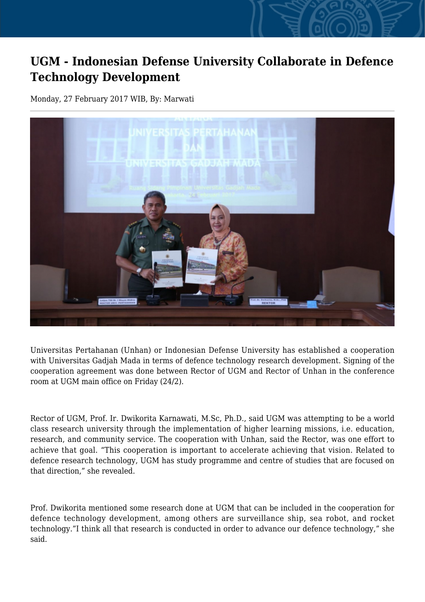## **UGM - Indonesian Defense University Collaborate in Defence Technology Development**

Monday, 27 February 2017 WIB, By: Marwati



Universitas Pertahanan (Unhan) or Indonesian Defense University has established a cooperation with Universitas Gadjah Mada in terms of defence technology research development. Signing of the cooperation agreement was done between Rector of UGM and Rector of Unhan in the conference room at UGM main office on Friday (24/2).

Rector of UGM, Prof. Ir. Dwikorita Karnawati, M.Sc, Ph.D., said UGM was attempting to be a world class research university through the implementation of higher learning missions, i.e. education, research, and community service. The cooperation with Unhan, said the Rector, was one effort to achieve that goal. "This cooperation is important to accelerate achieving that vision. Related to defence research technology, UGM has study programme and centre of studies that are focused on that direction," she revealed.

Prof. Dwikorita mentioned some research done at UGM that can be included in the cooperation for defence technology development, among others are surveillance ship, sea robot, and rocket technology."I think all that research is conducted in order to advance our defence technology," she said.